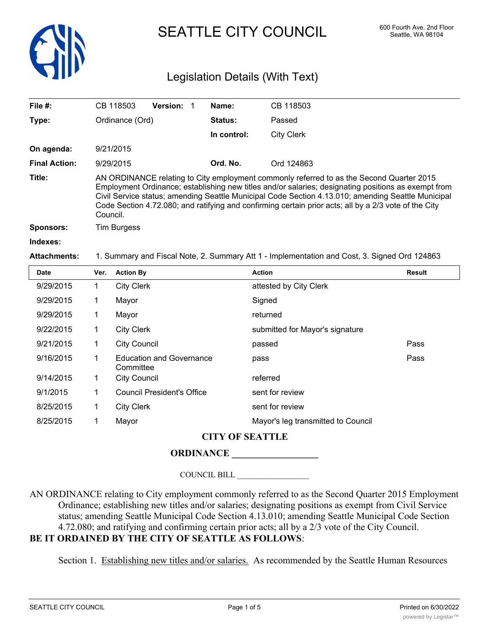

# SEATTLE CITY COUNCIL 600 Fourth Ave. 2nd Floor

# Legislation Details (With Text)

| File $#$ :           |      | CB 118503          | <b>Version: 1</b> | Name:       | CB 118503                                                                                                                                                                                                                                                                                                                                                                                                      |               |
|----------------------|------|--------------------|-------------------|-------------|----------------------------------------------------------------------------------------------------------------------------------------------------------------------------------------------------------------------------------------------------------------------------------------------------------------------------------------------------------------------------------------------------------------|---------------|
| Type:                |      | Ordinance (Ord)    |                   | Status:     | Passed                                                                                                                                                                                                                                                                                                                                                                                                         |               |
|                      |      |                    |                   | In control: | <b>City Clerk</b>                                                                                                                                                                                                                                                                                                                                                                                              |               |
| On agenda:           |      | 9/21/2015          |                   |             |                                                                                                                                                                                                                                                                                                                                                                                                                |               |
| <b>Final Action:</b> |      | 9/29/2015          |                   | Ord. No.    | Ord 124863                                                                                                                                                                                                                                                                                                                                                                                                     |               |
| Title:               |      | Council.           |                   |             | AN ORDINANCE relating to City employment commonly referred to as the Second Quarter 2015<br>Employment Ordinance; establishing new titles and/or salaries; designating positions as exempt from<br>Civil Service status; amending Seattle Municipal Code Section 4.13.010; amending Seattle Municipal<br>Code Section 4.72.080; and ratifying and confirming certain prior acts; all by a 2/3 vote of the City |               |
| <b>Sponsors:</b>     |      | <b>Tim Burgess</b> |                   |             |                                                                                                                                                                                                                                                                                                                                                                                                                |               |
| Indexes:             |      |                    |                   |             |                                                                                                                                                                                                                                                                                                                                                                                                                |               |
| <b>Attachments:</b>  |      |                    |                   |             | 1. Summary and Fiscal Note, 2. Summary Att 1 - Implementation and Cost, 3. Signed Ord 124863                                                                                                                                                                                                                                                                                                                   |               |
| <b>Date</b>          | Ver. | <b>Action By</b>   |                   |             | <b>Action</b>                                                                                                                                                                                                                                                                                                                                                                                                  | <b>Result</b> |
| 9/29/2015            | 1    | <b>City Clerk</b>  |                   |             | attested by City Clerk                                                                                                                                                                                                                                                                                                                                                                                         |               |
| 9/29/2015            | 1    | Mayor              |                   |             | Signed                                                                                                                                                                                                                                                                                                                                                                                                         |               |
| 9/29/2015            |      | Mayor              |                   |             | returned                                                                                                                                                                                                                                                                                                                                                                                                       |               |
| 9/22/2015            |      | <b>City Clerk</b>  |                   |             | submitted for Mayor's signature                                                                                                                                                                                                                                                                                                                                                                                |               |

# **CITY OF SEATTLE**

9/21/2015 1 City Council passed Pass Education and Governance pass 9/16/2015 1 Pass

## **ORDINANCE \_\_\_\_\_\_\_\_\_\_\_\_\_\_\_\_\_\_**

8/25/2015 1 Mayor Mayor's leg transmitted to Council

**Committee** 

9/14/2015 1 City Council 2014 19:00 referred

9/1/2015 1 Council President's Office sent for review 8/25/2015 1 City Clerk sent for review

COUNCIL BILL \_\_\_\_\_\_\_\_\_\_\_\_\_\_\_\_\_\_

AN ORDINANCE relating to City employment commonly referred to as the Second Quarter 2015 Employment Ordinance; establishing new titles and/or salaries; designating positions as exempt from Civil Service status; amending Seattle Municipal Code Section 4.13.010; amending Seattle Municipal Code Section 4.72.080; and ratifying and confirming certain prior acts; all by a 2/3 vote of the City Council. **BE IT ORDAINED BY THE CITY OF SEATTLE AS FOLLOWS**:

Section 1. Establishing new titles and/or salaries. As recommended by the Seattle Human Resources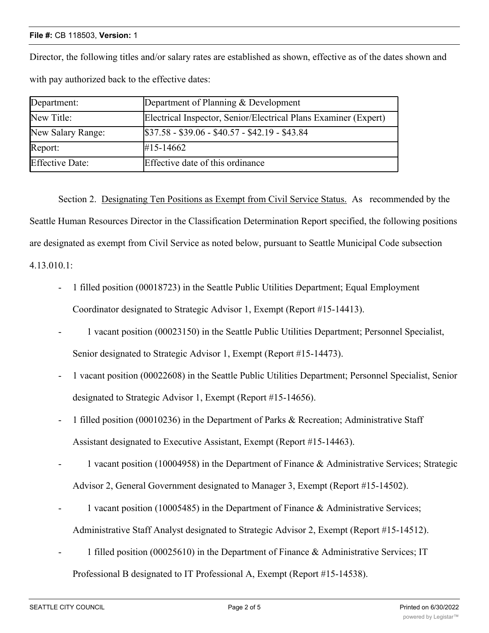#### **File #:** CB 118503, **Version:** 1

Director, the following titles and/or salary rates are established as shown, effective as of the dates shown and with pay authorized back to the effective dates:

| Department:            | Department of Planning & Development                            |
|------------------------|-----------------------------------------------------------------|
| New Title:             | Electrical Inspector, Senior/Electrical Plans Examiner (Expert) |
| New Salary Range:      | $$37.58 - $39.06 - $40.57 - $42.19 - $43.84$                    |
| Report:                | $\#15 - 14662$                                                  |
| <b>Effective Date:</b> | Effective date of this ordinance                                |

Section 2. Designating Ten Positions as Exempt from Civil Service Status. As recommended by the Seattle Human Resources Director in the Classification Determination Report specified, the following positions are designated as exempt from Civil Service as noted below, pursuant to Seattle Municipal Code subsection 4.13.010.1:

- 1 filled position (00018723) in the Seattle Public Utilities Department; Equal Employment Coordinator designated to Strategic Advisor 1, Exempt (Report #15-14413).
- 1 vacant position (00023150) in the Seattle Public Utilities Department; Personnel Specialist, Senior designated to Strategic Advisor 1, Exempt (Report #15-14473).
- 1 vacant position (00022608) in the Seattle Public Utilities Department; Personnel Specialist, Senior designated to Strategic Advisor 1, Exempt (Report #15-14656).
- 1 filled position (00010236) in the Department of Parks & Recreation; Administrative Staff Assistant designated to Executive Assistant, Exempt (Report #15-14463).
- 1 vacant position (10004958) in the Department of Finance & Administrative Services; Strategic Advisor 2, General Government designated to Manager 3, Exempt (Report #15-14502).
- 1 vacant position (10005485) in the Department of Finance & Administrative Services; Administrative Staff Analyst designated to Strategic Advisor 2, Exempt (Report #15-14512).
- 1 filled position (00025610) in the Department of Finance & Administrative Services; IT Professional B designated to IT Professional A, Exempt (Report #15-14538).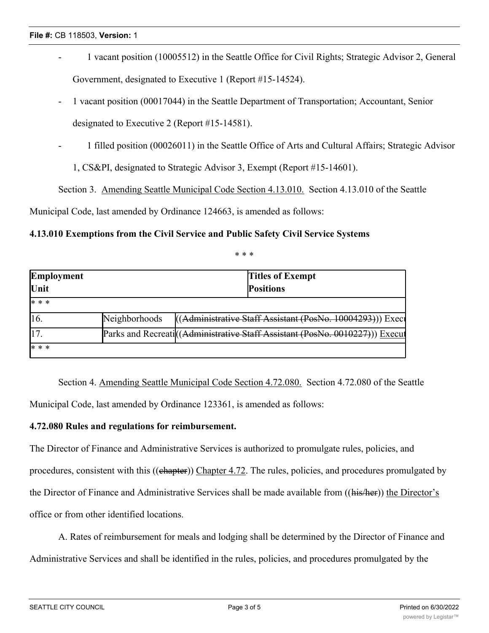- 1 vacant position (10005512) in the Seattle Office for Civil Rights; Strategic Advisor 2, General Government, designated to Executive 1 (Report #15-14524).
- 1 vacant position (00017044) in the Seattle Department of Transportation; Accountant, Senior designated to Executive 2 (Report #15-14581).
- 1 filled position (00026011) in the Seattle Office of Arts and Cultural Affairs; Strategic Advisor
	- 1, CS&PI, designated to Strategic Advisor 3, Exempt (Report #15-14601).

Section 3. Amending Seattle Municipal Code Section 4.13.010. Section 4.13.010 of the Seattle

Municipal Code, last amended by Ordinance 124663, is amended as follows:

## **4.13.010 Exemptions from the Civil Service and Public Safety Civil Service Systems**

\* \* \*

| Employment  |               | <b>Titles of Exempt</b>                                                       |  |
|-------------|---------------|-------------------------------------------------------------------------------|--|
| Unit        |               | <b>Positions</b>                                                              |  |
| * * *       |               |                                                                               |  |
| 16.         | Neighborhoods | ((Administrative Staff Assistant (PosNo. 10004293))) Exect                    |  |
| $\vert 17.$ |               | Parks and Recreati ((Administrative Staff Assistant (PosNo. 0010227))) Execut |  |
| * * *       |               |                                                                               |  |

Section 4. Amending Seattle Municipal Code Section 4.72.080. Section 4.72.080 of the Seattle Municipal Code, last amended by Ordinance 123361, is amended as follows:

## **4.72.080 Rules and regulations for reimbursement.**

The Director of Finance and Administrative Services is authorized to promulgate rules, policies, and procedures, consistent with this ((chapter)) Chapter 4.72. The rules, policies, and procedures promulgated by the Director of Finance and Administrative Services shall be made available from ((his/her)) the Director's office or from other identified locations.

A. Rates of reimbursement for meals and lodging shall be determined by the Director of Finance and Administrative Services and shall be identified in the rules, policies, and procedures promulgated by the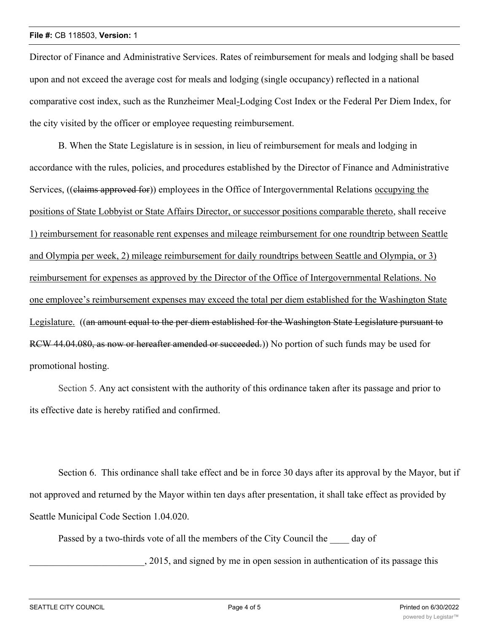#### **File #:** CB 118503, **Version:** 1

Director of Finance and Administrative Services. Rates of reimbursement for meals and lodging shall be based upon and not exceed the average cost for meals and lodging (single occupancy) reflected in a national comparative cost index, such as the Runzheimer Meal-Lodging Cost Index or the Federal Per Diem Index, for the city visited by the officer or employee requesting reimbursement.

B. When the State Legislature is in session, in lieu of reimbursement for meals and lodging in accordance with the rules, policies, and procedures established by the Director of Finance and Administrative Services, ((elaims approved for)) employees in the Office of Intergovernmental Relations occupying the positions of State Lobbyist or State Affairs Director, or successor positions comparable thereto, shall receive 1) reimbursement for reasonable rent expenses and mileage reimbursement for one roundtrip between Seattle and Olympia per week, 2) mileage reimbursement for daily roundtrips between Seattle and Olympia, or 3) reimbursement for expenses as approved by the Director of the Office of Intergovernmental Relations. No one employee's reimbursement expenses may exceed the total per diem established for the Washington State Legislature. ((an amount equal to the per diem established for the Washington State Legislature pursuant to RCW 44.04.080, as now or hereafter amended or succeeded.) No portion of such funds may be used for promotional hosting.

Section 5. Any act consistent with the authority of this ordinance taken after its passage and prior to its effective date is hereby ratified and confirmed.

Section 6. This ordinance shall take effect and be in force 30 days after its approval by the Mayor, but if not approved and returned by the Mayor within ten days after presentation, it shall take effect as provided by Seattle Municipal Code Section 1.04.020.

Passed by a two-thirds vote of all the members of the City Council the day of

\_\_\_\_\_\_\_\_\_\_\_\_\_\_\_\_\_\_\_\_\_\_\_\_, 2015, and signed by me in open session in authentication of its passage this